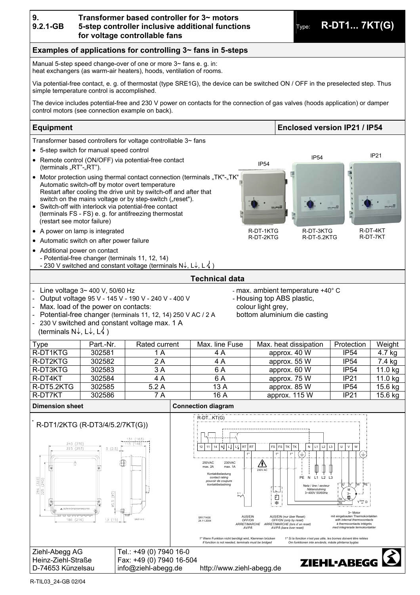